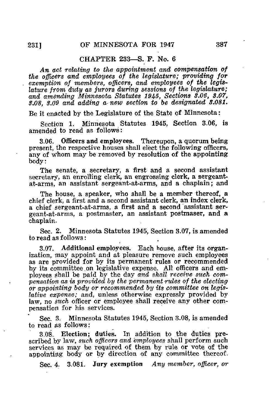## CHAPTER 233—S. F. No. 6

An act relating to the appointment and compensation of the officers and employees of the legislature; providing for exemption of members, officers, and employees of the legislature from duty as jurors during sessions of the legislature; and amending Minnesota Statutes 1945, Sections 3.06, 8.07, 3.08, 3.09 and adding a new section to be designated 8.081.

Be it enacted by the Legislature of the State of Minnesota:

Section 1. Minnesota Statutes 1945, Section 3.06, is amended to read as follows:

3.06. Officers and employees. Thereupon, a quorum being present, the respective houses shall elect the following officers, any of whom may be removed by resolution of the appointing body:

The senate, a secretary, a first and a second assistant secretary, an enrolling clerk, an engrossing clerk, a sergeantat-arms, an assistant sergeant-at-arms, and a chaplain; and

The house, a speaker, who shall be a member thereof, a chief clerk, a first and a second assistant clerk, an index clerk, a chief sergeant-at-arms, a first and a second assistant sergeant-alarms, a postmaster, an assistant postmaser, and a chaplain.

Sec. 2. Minnesota Statutes 1945, Section 3.07, is amended to read as follows:

3.07. Additional employees. Each house, after its organization, may appoint and at pleasure remove such employees as are provided for by its permanent rules or recommended by its committee on legislative expense. All officers and employees shall be paid by the day and shall receive such compensation as is provided by the permanent rules of the electing or appointing body or recommended by its committee on legislative expense; and, unless otherwise expressly provided by law, no such officer or employee shall receive any other compensation for his services.

Sec. 3. Minnesota Statutes 1945, Section 3.08, is amended to read as follows:

3.08. Election; duties. In addition to the duties prescribed by law, such officers and employees shall perform such services as may be required of them by rule or vote of the appointing body or by direction of any committee thereof.

Sec. 4. 3.081. Jury exemption Any member, officer, or